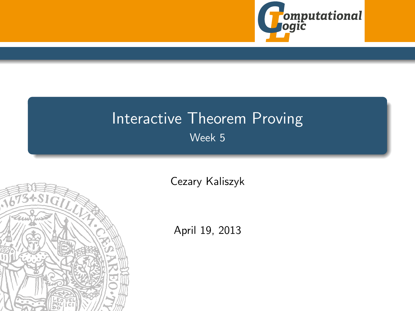

# Interactive Theorem Proving Week 5

<span id="page-0-0"></span>

[Cezary Kaliszyk](http://cl-informatik.uibk.ac.at/~cek)

April 19, 2013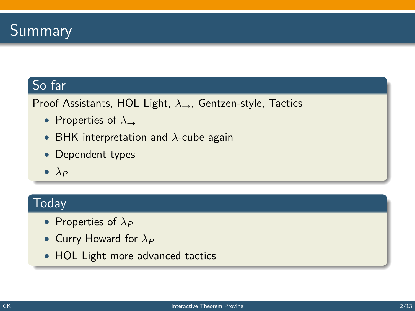## So far

Proof Assistants, HOL Light,  $\lambda_{\rightarrow}$ , Gentzen-style, Tactics

- Properties of  $\lambda_{\rightarrow}$
- BHK interpretation and  $\lambda$ -cube again
- Dependent types
- $\bullet$   $\lambda_P$

## **Today**

- Properties of  $\lambda_P$
- Curry Howard for  $\lambda_P$
- HOL Light more advanced tactics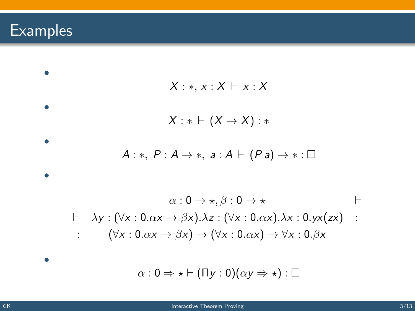# Examples

$$
X : *, x : X \vdash x : X
$$
\n  
\n  
\n
$$
X : * \vdash (X \rightarrow X) : *
$$
\n  
\n  
\n  
\n
$$
A : *, P : A \rightarrow *, a : A \vdash (P a) \rightarrow * : \Box
$$
\n  
\n  
\n  
\n
$$
\alpha : 0 \rightarrow *, \beta : 0 \rightarrow *
$$
\n  
\n
$$
+ \lambda y : (\forall x : 0.\alpha x \rightarrow \beta x). \lambda z : (\forall x : 0.\alpha x). \lambda x : 0.yx(zx) : (\forall x : 0.\alpha x \rightarrow \beta x) \rightarrow (\forall x : 0.\alpha x) \rightarrow \forall x : 0.\beta x
$$
\n  
\n  
\n
$$
\alpha : 0 \Rightarrow * \vdash (Ty : 0)(\alpha y \Rightarrow *) : \Box
$$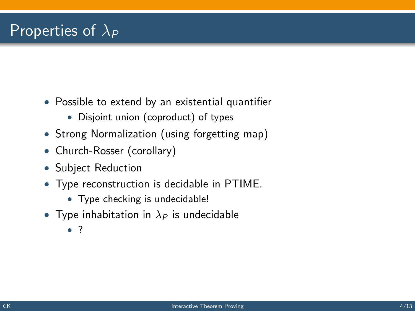## Properties of  $\lambda_P$

- Possible to extend by an existential quantifier
	- Disjoint union (coproduct) of types
- Strong Normalization (using forgetting map)
- Church-Rosser (corollary)
- Subject Reduction
- Type reconstruction is decidable in PTIME.
	- Type checking is undecidable!
- Type inhabitation in  $\lambda_P$  is undecidable
	- ?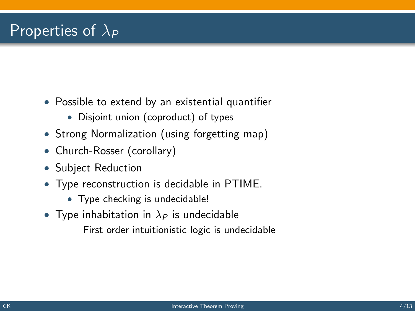## Properties of  $\lambda_P$

- Possible to extend by an existential quantifier
	- Disjoint union (coproduct) of types
- Strong Normalization (using forgetting map)
- Church-Rosser (corollary)
- Subject Reduction
- Type reconstruction is decidable in PTIME.
	- Type checking is undecidable!
- Type inhabitation in  $\lambda_P$  is undecidable First order intuitionistic logic is undecidable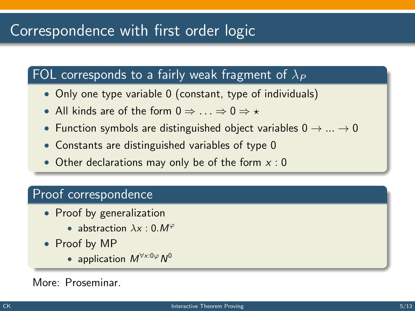## Correspondence with first order logic

#### FOL corresponds to a fairly weak fragment of  $\lambda_P$

- Only one type variable 0 (constant, type of individuals)
- All kinds are of the form  $0 \Rightarrow ... \Rightarrow 0 \Rightarrow *$
- Function symbols are distinguished object variables  $0 \rightarrow ... \rightarrow 0$
- Constants are distinguished variables of type 0
- Other declarations may only be of the form  $x : 0$

#### Proof correspondence

- Proof by generalization
	- abstraction  $\lambda x : 0. M^{\varphi}$
- Proof by MP
	- application  $M^{\forall x:0\varphi}N^0$

#### More: Proseminar.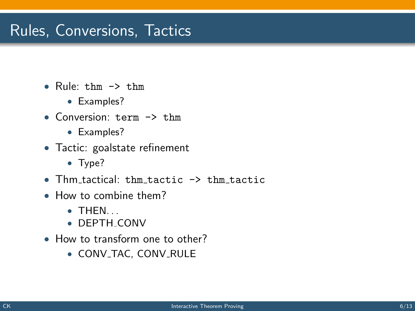## Rules, Conversions, Tactics

- Rule: thm  $\rightarrow$  thm
	- Examples?
- Conversion: term -> thm
	- Examples?
- Tactic: goalstate refinement
	- Type?
- Thm tactical: thm tactic  $\rightarrow$  thm tactic
- How to combine them?
	- $\bullet$  THEN.
	- DEPTH CONV
- How to transform one to other?
	- CONV\_TAC, CONV\_RULE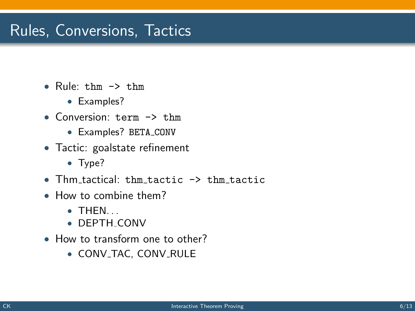## Rules, Conversions, Tactics

- Rule: thm  $\rightarrow$  thm
	- Examples?
- Conversion: term -> thm
	- Examples? BETA CONV
- Tactic: goalstate refinement
	- Type?
- Thm tactical: thm tactic  $\rightarrow$  thm tactic
- How to combine them?
	- $\bullet$  THEN.
	- DEPTH CONV
- How to transform one to other?
	- CONV\_TAC, CONV\_RULE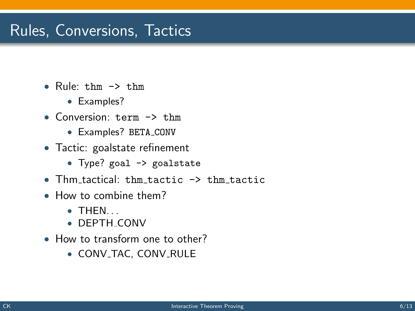## Rules, Conversions, Tactics

- Rule:  $t$ hm  $\rightarrow$   $t$ hm
	- Examples?
- Conversion: term -> thm
	- Examples? BETA CONV
- Tactic: goalstate refinement
	- Type? goal -> goalstate
- Thm tactical: thm tactic -> thm tactic
- How to combine them?
	- $\bullet$  THEN.
	- DEPTH CONV
- How to transform one to other?
	- CONV\_TAC, CONV\_RULE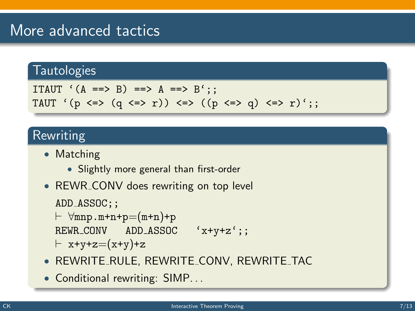## More advanced tactics

## **Tautologies**

```
ITAUT (A == > B) == > A == > B':
TAUT '(p \iff (q \iff r)) \iff ((p \iff q) \iff r);
```
#### Rewriting

- Matching
	- Slightly more general than first-order
- REWR\_CONV does rewriting on top level

```
ADD_ASSOC;;
```

```
\vdash \forallmnp.m+n+p=(m+n)+p
REWR CONV ADD ASSOC 'x+y+z';;
```

```
\vdash x+y+z=(x+y)+z
```
- REWRITE RULE, REWRITE CONV, REWRITE TAC
- Conditional rewriting: SIMP...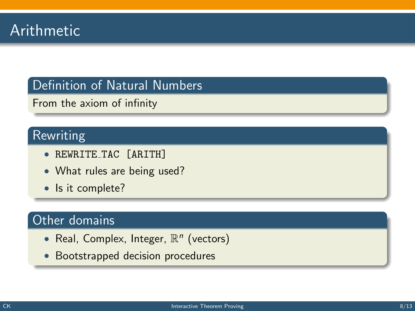#### Definition of Natural Numbers

From the axiom of infinity

### Rewriting

- REWRITE TAC [ARITH]
- What rules are being used?
- Is it complete?

#### Other domains

- Real, Complex, Integer,  $\mathbb{R}^n$  (vectors)
- Bootstrapped decision procedures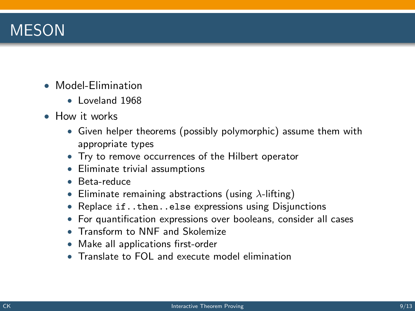## MESON

- Model-Elimination
	- Loveland 1968
- How it works
	- Given helper theorems (possibly polymorphic) assume them with appropriate types
	- Try to remove occurrences of the Hilbert operator
	- Eliminate trivial assumptions
	- Beta-reduce
	- Eliminate remaining abstractions (using  $\lambda$ -lifting)
	- Replace if..then..else expressions using Disjunctions
	- For quantification expressions over booleans, consider all cases
	- Transform to NNF and Skolemize
	- Make all applications first-order
	- Translate to FOL and execute model elimination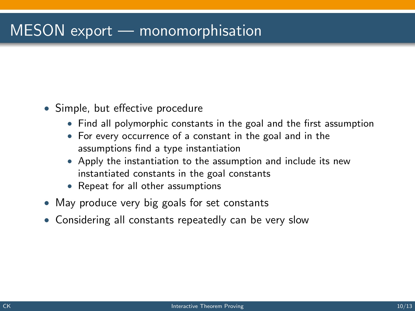# MESON export — monomorphisation

- Simple, but effective procedure
	- Find all polymorphic constants in the goal and the first assumption
	- For every occurrence of a constant in the goal and in the assumptions find a type instantiation
	- Apply the instantiation to the assumption and include its new instantiated constants in the goal constants
	- Repeat for all other assumptions
- May produce very big goals for set constants
- Considering all constants repeatedly can be very slow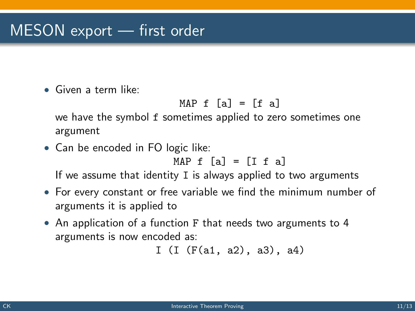## MESON export — first order

• Given a term like:

$$
MAP f [a] = [f a]
$$

we have the symbol f sometimes applied to zero sometimes one argument

• Can be encoded in FO logic like:

$$
MAP f [a] = [I f a]
$$

If we assume that identity I is always applied to two arguments

- For every constant or free variable we find the minimum number of arguments it is applied to
- An application of a function F that needs two arguments to 4 arguments is now encoded as:

```
I (I (F(a1, a2), a3), a4)
```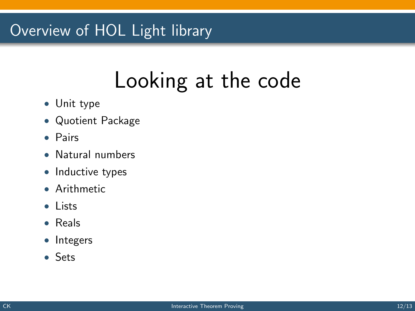# Overview of HOL Light library

# Looking at the code

- Unit type
- Quotient Package
- Pairs
- Natural numbers
- Inductive types
- Arithmetic
- Lists
- Reals
- Integers
- Sets